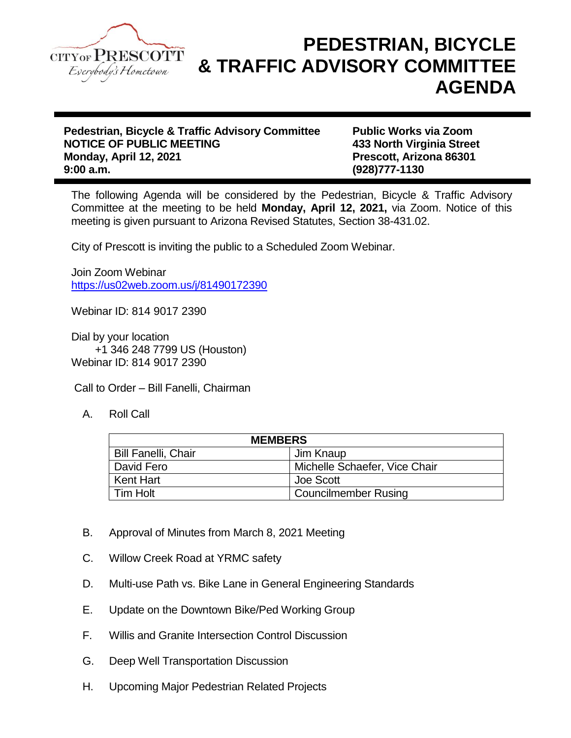

## **PEDESTRIAN, BICYCLE & TRAFFIC ADVISORY COMMITTEE AGENDA**

**Pedestrian, Bicycle & Traffic Advisory Committee Public Works via Zoom NOTICE OF PUBLIC MEETING 433 North Virginia Street Monday, April 12, 2021 Prescott, Arizona 86301 9:00 a.m. (928)777-1130**

The following Agenda will be considered by the Pedestrian, Bicycle & Traffic Advisory Committee at the meeting to be held **Monday, April 12, 2021,** via Zoom. Notice of this meeting is given pursuant to Arizona Revised Statutes, Section 38-431.02.

City of Prescott is inviting the public to a Scheduled Zoom Webinar.

Join Zoom Webinar <https://us02web.zoom.us/j/81490172390>

Webinar ID: 814 9017 2390

Dial by your location +1 346 248 7799 US (Houston) Webinar ID: 814 9017 2390

Call to Order – Bill Fanelli, Chairman

A. Roll Call

| <b>MEMBERS</b>             |                               |
|----------------------------|-------------------------------|
| <b>Bill Fanelli, Chair</b> | Jim Knaup                     |
| David Fero                 | Michelle Schaefer, Vice Chair |
| Kent Hart                  | Joe Scott                     |
| l Tim Holt                 | <b>Councilmember Rusing</b>   |

- B. Approval of Minutes from March 8, 2021 Meeting
- C. Willow Creek Road at YRMC safety
- D. Multi-use Path vs. Bike Lane in General Engineering Standards
- E. Update on the Downtown Bike/Ped Working Group
- F. Willis and Granite Intersection Control Discussion
- G. Deep Well Transportation Discussion
- H. Upcoming Major Pedestrian Related Projects